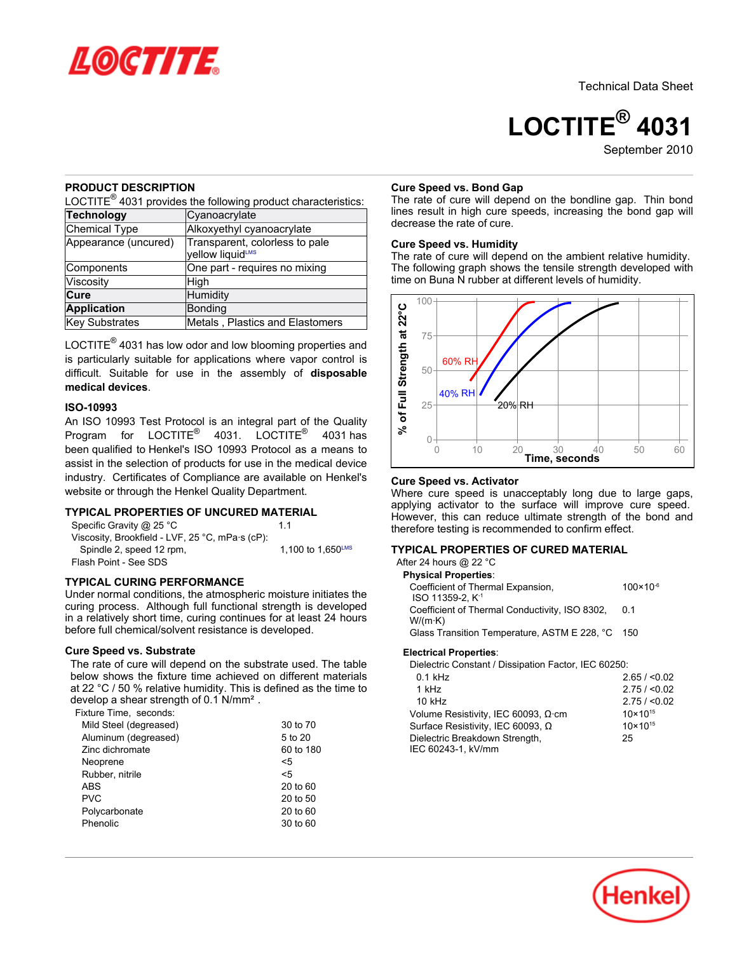

# **LOCTITE® 4031**

September 2010

### **PRODUCT DESCRIPTION**

LOCTITE $^{\circledR}$  4031 provides the following product characteristics:

| <b>Technology</b>     | Cyanoacrylate                                      |
|-----------------------|----------------------------------------------------|
| Chemical Type         | Alkoxyethyl cyanoacrylate                          |
| Appearance (uncured)  | Transparent, colorless to pale<br>yellow liquidLMS |
| Components            | One part - requires no mixing                      |
| Viscositv             | High                                               |
| Cure                  | Humidity                                           |
| <b>Application</b>    | Bonding                                            |
| <b>Key Substrates</b> | Metals, Plastics and Elastomers                    |

LOCTITE $^{\circledR}$  4031 has low odor and low blooming properties and is particularly suitable for applications where vapor control is difficult. Suitable for use in the assembly of **disposable medical devices**.

### **ISO-10993**

An ISO 10993 Test Protocol is an integral part of the Quality Program for LOCTITE<sup>®</sup> 4031. LOCTITE<sup>®</sup> 4031 has been qualified to Henkel's ISO 10993 Protocol as a means to assist in the selection of products for use in the medical device industry. Certificates of Compliance are available on Henkel's website or through the Henkel Quality Department.

### **TYPICAL PROPERTIES OF UNCURED MATERIAL**

Specific Gravity @ 25 °C 1.1 Viscosity, Brookfield - LVF, 25 °C, mPa·s (cP): Spindle 2, speed 12 rpm,  $1,100$  to  $1,650^{\text{LMS}}$ Flash Point - See SDS

### **TYPICAL CURING PERFORMANCE**

Under normal conditions, the atmospheric moisture initiates the curing process. Although full functional strength is developed in a relatively short time, curing continues for at least 24 hours before full chemical/solvent resistance is developed.

### **Cure Speed vs. Substrate**

The rate of cure will depend on the substrate used. The table below shows the fixture time achieved on different materials at 22 °C / 50 % relative humidity. This is defined as the time to develop a shear strength of 0.1 N/mm².

Fixture Time, seconds:

| Mild Steel (degreased) | 30 to 70  |
|------------------------|-----------|
| Aluminum (degreased)   | 5 to 20   |
| Zinc dichromate        | 60 to 180 |
| Neoprene               | <5        |
| Rubber, nitrile        | <5        |
| <b>ABS</b>             | 20 to 60  |
| <b>PVC</b>             | 20 to 50  |
| Polycarbonate          | 20 to 60  |
| Phenolic               | 30 to 60  |

### **Cure Speed vs. Bond Gap**

The rate of cure will depend on the bondline gap. Thin bond lines result in high cure speeds, increasing the bond gap will decrease the rate of cure.

### **Cure Speed vs. Humidity**

The rate of cure will depend on the ambient relative humidity. The following graph shows the tensile strength developed with time on Buna N rubber at different levels of humidity.



### **Cure Speed vs. Activator**

Where cure speed is unacceptably long due to large gaps, applying activator to the surface will improve cure speed. However, this can reduce ultimate strength of the bond and therefore testing is recommended to confirm effect.

### **TYPICAL PROPERTIES OF CURED MATERIAL**

| After 24 hours @ 22 °C                                            |                      |
|-------------------------------------------------------------------|----------------------|
| <b>Physical Properties:</b>                                       |                      |
| Coefficient of Thermal Expansion,<br>ISO 11359-2. K <sup>-1</sup> | $100 \times 10^{-6}$ |
| Coefficient of Thermal Conductivity, ISO 8302,<br>W/(m·K)         | 0 1                  |
| Glass Transition Temperature, ASTM E 228, °C 150                  |                      |
| Electrical Dranartica:                                            |                      |

#### **Electrical Properties**:

| Dielectric Constant / Dissipation Factor, IEC 60250: |                     |
|------------------------------------------------------|---------------------|
| $0.1$ kHz                                            | 2.65 / < 0.02       |
| 1 kHz                                                | 2.75 / < 0.02       |
| 10 kHz                                               | 2.75 / < 0.02       |
| Volume Resistivity, IEC 60093, $\Omega$ ·cm          | $10 \times 10^{15}$ |
| Surface Resistivity, IEC 60093, Ω                    | $10 \times 10^{15}$ |
| Dielectric Breakdown Strength,                       | 25                  |
| IEC 60243-1, kV/mm                                   |                     |

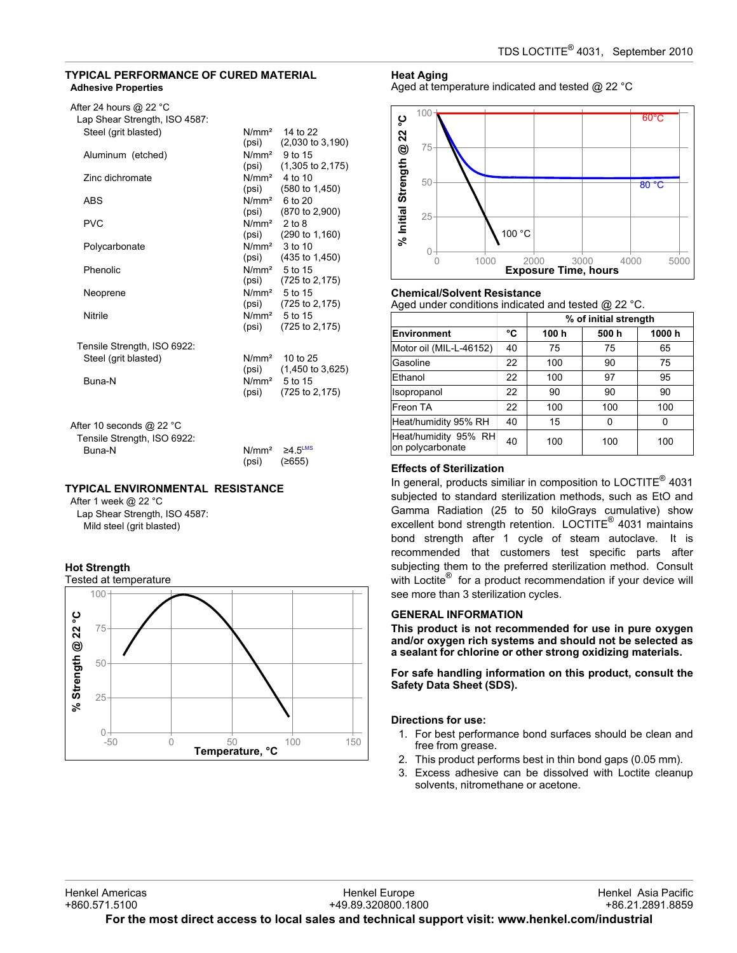### **TYPICAL PERFORMANCE OF CURED MATERIAL Adhesive Properties**

| After 24 hours $@$ 22 °C      |
|-------------------------------|
| Lap Shear Strength, ISO 4587: |

| Steel (grit blasted)               |                   | $N/mm2$ 14 to 22            |
|------------------------------------|-------------------|-----------------------------|
|                                    | (psi)             | $(2,030 \text{ to } 3,190)$ |
| Aluminum (etched)                  |                   | $N/mm2$ 9 to 15             |
|                                    | (psi)             | $(1,305 \text{ to } 2,175)$ |
| Zinc dichromate                    |                   | $N/mm2$ 4 to 10             |
|                                    | (psi)             | $(580 \text{ to } 1,450)$   |
| ABS                                |                   | $N/mm^2$ 6 to 20            |
|                                    |                   | $(psi)$ $(870 to 2,900)$    |
| <b>PVC</b>                         | $N/mm2$ 2 to 8    |                             |
|                                    |                   | $(psi)$ $(290 to 1,160)$    |
| Polycarbonate                      | N/mm <sup>2</sup> | 3 <sub>to</sub> 10          |
|                                    |                   | $(psi)$ $(435 to 1,450)$    |
| Phenolic                           |                   | $N/mm2$ 5 to 15             |
|                                    |                   | $(psi)$ $(725 to 2, 175)$   |
| Neoprene                           |                   | N/mm <sup>2</sup> 5 to 15   |
|                                    | (psi)             | $(725 \text{ to } 2, 175)$  |
| Nitrile                            |                   | N/mm <sup>2</sup> 5 to 15   |
|                                    | (psi)             | $(725 \text{ to } 2, 175)$  |
|                                    |                   |                             |
| Tensile Strength, ISO 6922:        |                   |                             |
| Steel (grit blasted)               |                   | $N/mm2$ 10 to 25            |
|                                    | (psi)             | $(1,450 \text{ to } 3,625)$ |
| Buna-N                             |                   | $N/mm2$ 5 to 15             |
|                                    | (psi)             | $(725 \text{ to } 2, 175)$  |
|                                    |                   |                             |
|                                    |                   |                             |
| After 10 seconds @ 22 $^{\circ}$ C |                   |                             |

| Tensile Strength, ISO 6922: |                  |                                  |
|-----------------------------|------------------|----------------------------------|
| Buna-N                      |                  | $N/mm^2 \geq 4.5$ <sup>LMS</sup> |
|                             | $(psi)$ $(2655)$ |                                  |

# **TYPICAL ENVIRONMENTAL RESISTANCE**

After 1 week @ 22 °C Lap Shear Strength, ISO 4587: Mild steel (grit blasted)



# **Heat Aging**

Aged at temperature indicated and tested @ 22 °C



# **Chemical/Solvent Resistance**

Aged under conditions indicated and tested @ 22 °C.

|                                          |    | % of initial strength |      |       |
|------------------------------------------|----|-----------------------|------|-------|
| Environment                              | °C | 100 h                 | 500h | 1000h |
| Motor oil (MIL-L-46152)                  | 40 | 75                    | 75   | 65    |
| Gasoline                                 | 22 | 100                   | 90   | 75    |
| Ethanol                                  | 22 | 100                   | 97   | 95    |
| Isopropanol                              | 22 | 90                    | 90   | 90    |
| Freon TA                                 | 22 | 100                   | 100  | 100   |
| Heat/humidity 95% RH                     | 40 | 15                    | 0    | ŋ     |
| Heat/humidity 95% RH<br>on polycarbonate | 40 | 100                   | 100  | 100   |

# **Effects of Sterilization**

In general, products similiar in composition to LOCTITE<sup>®</sup> 4031 subjected to standard sterilization methods, such as EtO and Gamma Radiation (25 to 50 kiloGrays cumulative) show excellent bond strength retention. LOCTITE<sup>®</sup> 4031 maintains bond strength after 1 cycle of steam autoclave. It is recommended that customers test specific parts after subjecting them to the preferred sterilization method. Consult with Loctite® for a product recommendation if your device will see more than 3 sterilization cycles.

### **GENERAL INFORMATION**

**This product is not recommended for use in pure oxygen and/or oxygen rich systems and should not be selected as a sealant for chlorine or other strong oxidizing materials.**

**For safe handling information on this product, consult the Safety Data Sheet (SDS).**

### **Directions for use:**

- 1. For best performance bond surfaces should be clean and free from grease.
- 2. This product performs best in thin bond gaps (0.05 mm).
- 3. Excess adhesive can be dissolved with Loctite cleanup solvents, nitromethane or acetone.